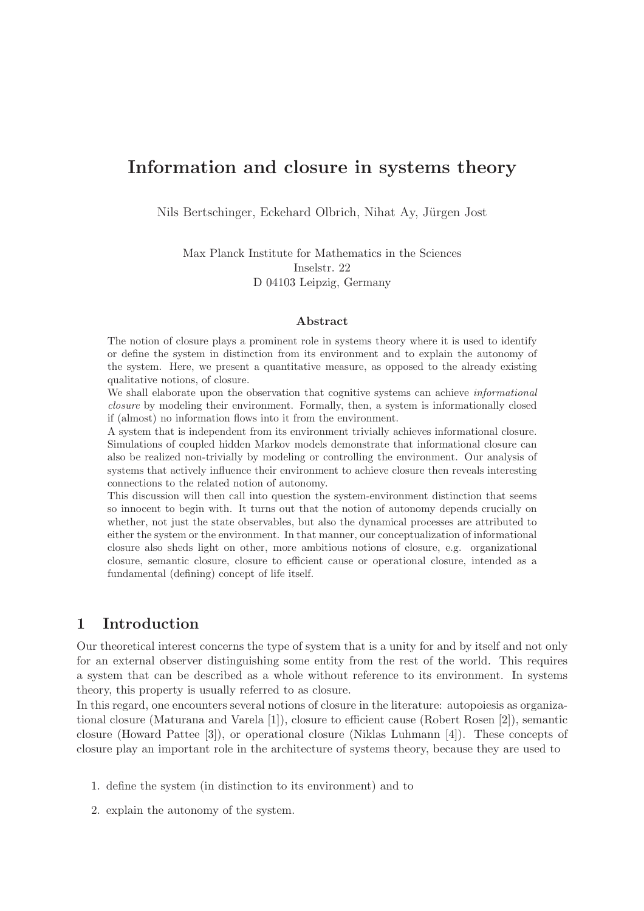# Information and closure in systems theory

Nils Bertschinger, Eckehard Olbrich, Nihat Ay, Jürgen Jost

Max Planck Institute for Mathematics in the Sciences Inselstr. 22 D 04103 Leipzig, Germany

#### Abstract

The notion of closure plays a prominent role in systems theory where it is used to identify or define the system in distinction from its environment and to explain the autonomy of the system. Here, we present a quantitative measure, as opposed to the already existing qualitative notions, of closure.

We shall elaborate upon the observation that cognitive systems can achieve *informational* closure by modeling their environment. Formally, then, a system is informationally closed if (almost) no information flows into it from the environment.

A system that is independent from its environment trivially achieves informational closure. Simulations of coupled hidden Markov models demonstrate that informational closure can also be realized non-trivially by modeling or controlling the environment. Our analysis of systems that actively influence their environment to achieve closure then reveals interesting connections to the related notion of autonomy.

This discussion will then call into question the system-environment distinction that seems so innocent to begin with. It turns out that the notion of autonomy depends crucially on whether, not just the state observables, but also the dynamical processes are attributed to either the system or the environment. In that manner, our conceptualization of informational closure also sheds light on other, more ambitious notions of closure, e.g. organizational closure, semantic closure, closure to efficient cause or operational closure, intended as a fundamental (defining) concept of life itself.

## 1 Introduction

Our theoretical interest concerns the type of system that is a unity for and by itself and not only for an external observer distinguishing some entity from the rest of the world. This requires a system that can be described as a whole without reference to its environment. In systems theory, this property is usually referred to as closure.

In this regard, one encounters several notions of closure in the literature: autopoiesis as organizational closure (Maturana and Varela [1]), closure to efficient cause (Robert Rosen [2]), semantic closure (Howard Pattee [3]), or operational closure (Niklas Luhmann [4]). These concepts of closure play an important role in the architecture of systems theory, because they are used to

- 1. define the system (in distinction to its environment) and to
- 2. explain the autonomy of the system.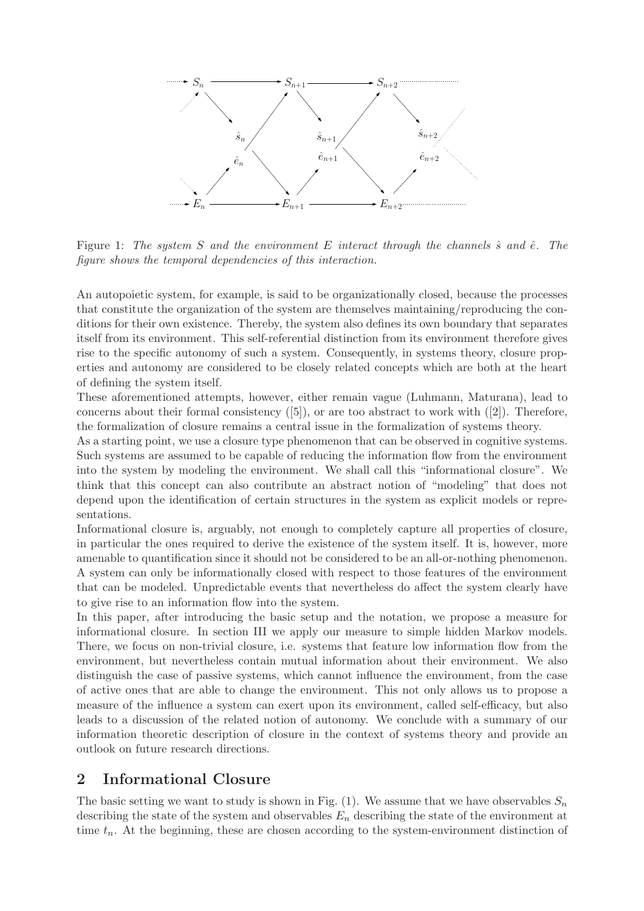

Figure 1: The system S and the environment E interact through the channels  $\hat{s}$  and  $\hat{e}$ . The figure shows the temporal dependencies of this interaction.

An autopoietic system, for example, is said to be organizationally closed, because the processes that constitute the organization of the system are themselves maintaining/reproducing the conditions for their own existence. Thereby, the system also defines its own boundary that separates itself from its environment. This self-referential distinction from its environment therefore gives rise to the specific autonomy of such a system. Consequently, in systems theory, closure properties and autonomy are considered to be closely related concepts which are both at the heart of defining the system itself.

These aforementioned attempts, however, either remain vague (Luhmann, Maturana), lead to concerns about their formal consistency  $([5])$ , or are too abstract to work with  $([2])$ . Therefore, the formalization of closure remains a central issue in the formalization of systems theory.

As a starting point, we use a closure type phenomenon that can be observed in cognitive systems. Such systems are assumed to be capable of reducing the information flow from the environment into the system by modeling the environment. We shall call this "informational closure". We think that this concept can also contribute an abstract notion of "modeling" that does not depend upon the identification of certain structures in the system as explicit models or representations.

Informational closure is, arguably, not enough to completely capture all properties of closure, in particular the ones required to derive the existence of the system itself. It is, however, more amenable to quantification since it should not be considered to be an all-or-nothing phenomenon. A system can only be informationally closed with respect to those features of the environment that can be modeled. Unpredictable events that nevertheless do affect the system clearly have to give rise to an information flow into the system.

In this paper, after introducing the basic setup and the notation, we propose a measure for informational closure. In section III we apply our measure to simple hidden Markov models. There, we focus on non-trivial closure, i.e. systems that feature low information flow from the environment, but nevertheless contain mutual information about their environment. We also distinguish the case of passive systems, which cannot influence the environment, from the case of active ones that are able to change the environment. This not only allows us to propose a measure of the influence a system can exert upon its environment, called self-efficacy, but also leads to a discussion of the related notion of autonomy. We conclude with a summary of our information theoretic description of closure in the context of systems theory and provide an outlook on future research directions.

### 2 Informational Closure

The basic setting we want to study is shown in Fig. (1). We assume that we have observables  $S_n$ describing the state of the system and observables  $E_n$  describing the state of the environment at time  $t_n$ . At the beginning, these are chosen according to the system-environment distinction of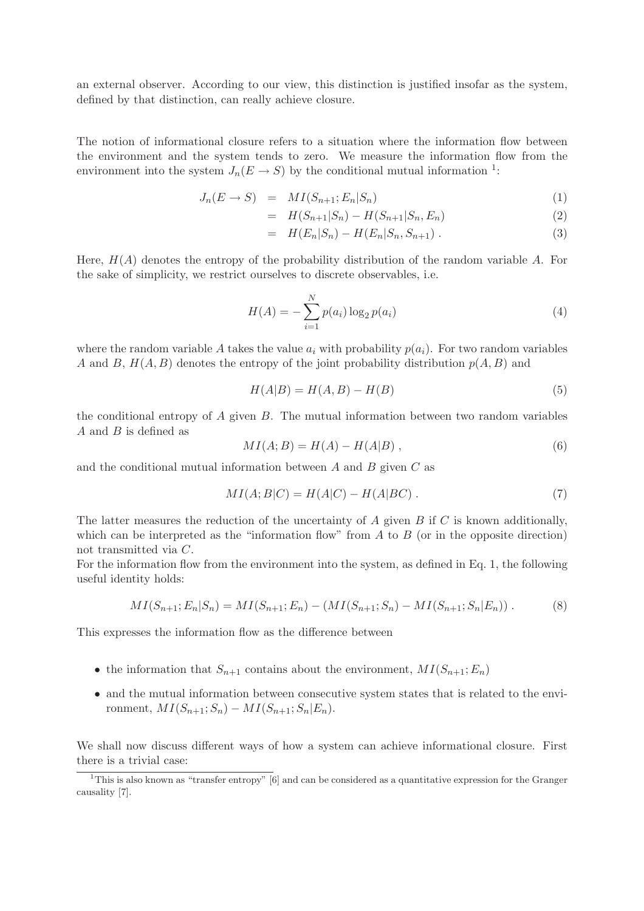an external observer. According to our view, this distinction is justified insofar as the system, defined by that distinction, can really achieve closure.

The notion of informational closure refers to a situation where the information flow between the environment and the system tends to zero. We measure the information flow from the environment into the system  $J_n(E \to S)$  by the conditional mutual information <sup>1</sup>:

$$
J_n(E \to S) = MI(S_{n+1}; E_n | S_n)
$$
\n<sup>(1)</sup>

$$
= H(S_{n+1}|S_n) - H(S_{n+1}|S_n, E_n)
$$
\n(2)

$$
= H(E_n|S_n) - H(E_n|S_n, S_{n+1}). \tag{3}
$$

Here,  $H(A)$  denotes the entropy of the probability distribution of the random variable A. For the sake of simplicity, we restrict ourselves to discrete observables, i.e.

$$
H(A) = -\sum_{i=1}^{N} p(a_i) \log_2 p(a_i)
$$
\n(4)

where the random variable A takes the value  $a_i$  with probability  $p(a_i)$ . For two random variables A and B,  $H(A, B)$  denotes the entropy of the joint probability distribution  $p(A, B)$  and

$$
H(A|B) = H(A,B) - H(B)
$$
\n<sup>(5)</sup>

the conditional entropy of  $A$  given  $B$ . The mutual information between two random variables A and B is defined as

$$
MI(A;B) = H(A) - H(A|B) , \qquad (6)
$$

and the conditional mutual information between  $A$  and  $B$  given  $C$  as

$$
MI(A;B|C) = H(A|C) - H(A|BC) . \tag{7}
$$

The latter measures the reduction of the uncertainty of  $A$  given  $B$  if  $C$  is known additionally, which can be interpreted as the "information flow" from  $A$  to  $B$  (or in the opposite direction) not transmitted via C.

For the information flow from the environment into the system, as defined in Eq. 1, the following useful identity holds:

$$
MI(S_{n+1}; E_n | S_n) = MI(S_{n+1}; E_n) - (MI(S_{n+1}; S_n) - MI(S_{n+1}; S_n | E_n)).
$$
\n(8)

This expresses the information flow as the difference between

- the information that  $S_{n+1}$  contains about the environment,  $MI(S_{n+1}; E_n)$
- and the mutual information between consecutive system states that is related to the environment,  $MI(S_{n+1}; S_n) - MI(S_{n+1}; S_n | E_n)$ .

We shall now discuss different ways of how a system can achieve informational closure. First there is a trivial case:

<sup>&</sup>lt;sup>1</sup>This is also known as "transfer entropy" [6] and can be considered as a quantitative expression for the Granger causality [7].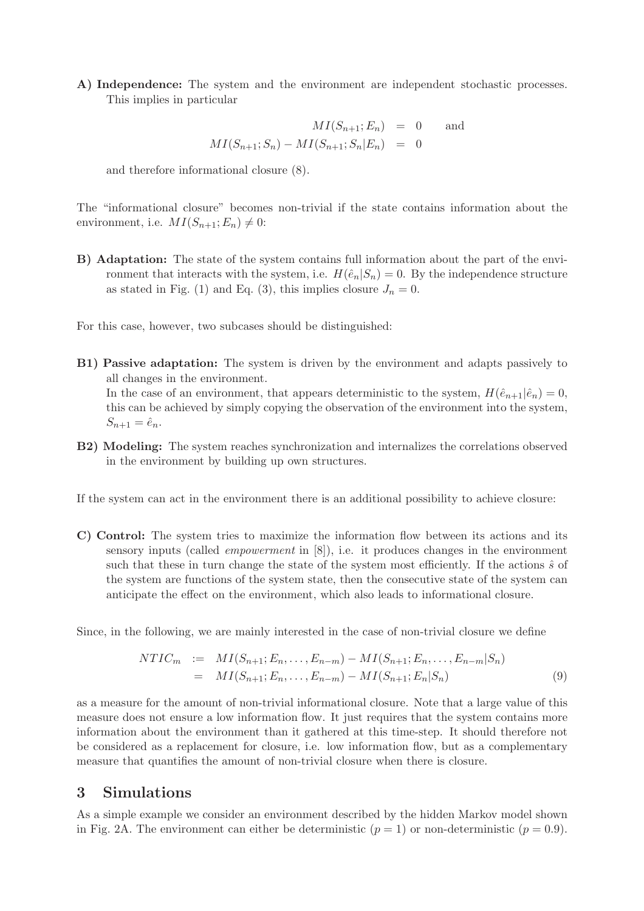A) Independence: The system and the environment are independent stochastic processes. This implies in particular

$$
MI(S_{n+1}; E_n) = 0 \text{ and}
$$
  

$$
MI(S_{n+1}; S_n) - MI(S_{n+1}; S_n | E_n) = 0
$$

and therefore informational closure (8).

The "informational closure" becomes non-trivial if the state contains information about the environment, i.e.  $MI(S_{n+1}; E_n) \neq 0$ :

B) Adaptation: The state of the system contains full information about the part of the environment that interacts with the system, i.e.  $H(\hat{e}_n|S_n) = 0$ . By the independence structure as stated in Fig. (1) and Eq. (3), this implies closure  $J_n = 0$ .

For this case, however, two subcases should be distinguished:

- B1) Passive adaptation: The system is driven by the environment and adapts passively to all changes in the environment. In the case of an environment, that appears deterministic to the system,  $H(\hat{e}_{n+1}|\hat{e}_n) = 0$ , this can be achieved by simply copying the observation of the environment into the system,  $S_{n+1} = \hat{e}_n.$
- B2) Modeling: The system reaches synchronization and internalizes the correlations observed in the environment by building up own structures.

If the system can act in the environment there is an additional possibility to achieve closure:

C) Control: The system tries to maximize the information flow between its actions and its sensory inputs (called empowerment in [8]), i.e. it produces changes in the environment such that these in turn change the state of the system most efficiently. If the actions  $\hat{s}$  of the system are functions of the system state, then the consecutive state of the system can anticipate the effect on the environment, which also leads to informational closure.

Since, in the following, we are mainly interested in the case of non-trivial closure we define

$$
NTIC_m := MI(S_{n+1}; E_n, \dots, E_{n-m}) - MI(S_{n+1}; E_n, \dots, E_{n-m}|S_n)
$$
  
= 
$$
MI(S_{n+1}; E_n, \dots, E_{n-m}) - MI(S_{n+1}; E_n|S_n)
$$
 (9)

as a measure for the amount of non-trivial informational closure. Note that a large value of this measure does not ensure a low information flow. It just requires that the system contains more information about the environment than it gathered at this time-step. It should therefore not be considered as a replacement for closure, i.e. low information flow, but as a complementary measure that quantifies the amount of non-trivial closure when there is closure.

#### 3 Simulations

As a simple example we consider an environment described by the hidden Markov model shown in Fig. 2A. The environment can either be deterministic  $(p = 1)$  or non-deterministic  $(p = 0.9)$ .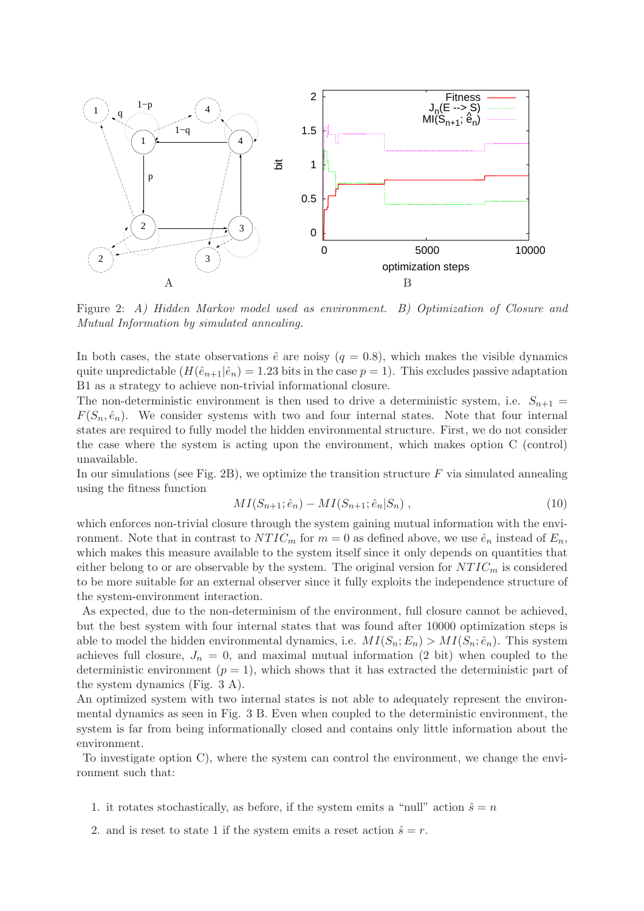

Figure 2: A) Hidden Markov model used as environment. B) Optimization of Closure and Mutual Information by simulated annealing.

In both cases, the state observations  $\hat{e}$  are noisy ( $q = 0.8$ ), which makes the visible dynamics quite unpredictable  $(H(\hat{e}_{n+1}|\hat{e}_n) = 1.23$  bits in the case  $p = 1$ ). This excludes passive adaptation B1 as a strategy to achieve non-trivial informational closure.

The non-deterministic environment is then used to drive a deterministic system, i.e.  $S_{n+1}$  =  $F(S_n, \hat{e}_n)$ . We consider systems with two and four internal states. Note that four internal states are required to fully model the hidden environmental structure. First, we do not consider the case where the system is acting upon the environment, which makes option C (control) unavailable.

In our simulations (see Fig. 2B), we optimize the transition structure  $F$  via simulated annealing using the fitness function

$$
MI(S_{n+1}; \hat{e}_n) - MI(S_{n+1}; \hat{e}_n | S_n) , \qquad (10)
$$

which enforces non-trivial closure through the system gaining mutual information with the environment. Note that in contrast to  $NTIC_m$  for  $m = 0$  as defined above, we use  $\hat{e}_n$  instead of  $E_n$ , which makes this measure available to the system itself since it only depends on quantities that either belong to or are observable by the system. The original version for  $NTIC_m$  is considered to be more suitable for an external observer since it fully exploits the independence structure of the system-environment interaction.

As expected, due to the non-determinism of the environment, full closure cannot be achieved, but the best system with four internal states that was found after 10000 optimization steps is able to model the hidden environmental dynamics, i.e.  $MI(S_n; E_n) > MI(S_n; \hat{e}_n)$ . This system achieves full closure,  $J_n = 0$ , and maximal mutual information (2 bit) when coupled to the deterministic environment  $(p = 1)$ , which shows that it has extracted the deterministic part of the system dynamics (Fig. 3 A).

An optimized system with two internal states is not able to adequately represent the environmental dynamics as seen in Fig. 3 B. Even when coupled to the deterministic environment, the system is far from being informationally closed and contains only little information about the environment.

To investigate option C), where the system can control the environment, we change the environment such that:

- 1. it rotates stochastically, as before, if the system emits a "null" action  $\hat{s} = n$
- 2. and is reset to state 1 if the system emits a reset action  $\hat{s} = r$ .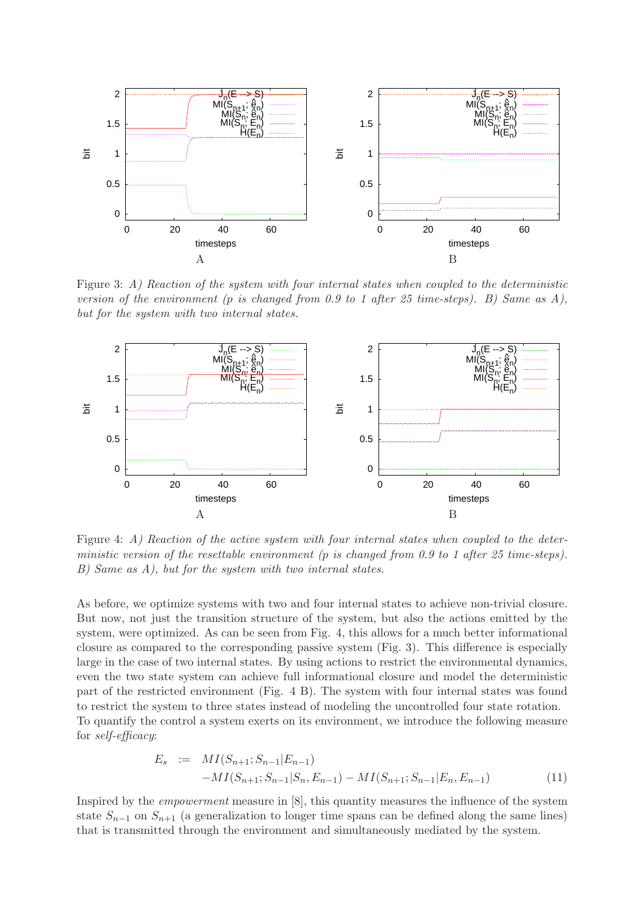

Figure 3: A) Reaction of the system with four internal states when coupled to the deterministic version of the environment (p is changed from 0.9 to 1 after 25 time-steps). B) Same as  $A$ ), but for the system with two internal states.



Figure 4: A) Reaction of the active system with four internal states when coupled to the deterministic version of the resettable environment (p is changed from 0.9 to 1 after 25 time-steps). B) Same as A), but for the system with two internal states.

As before, we optimize systems with two and four internal states to achieve non-trivial closure. But now, not just the transition structure of the system, but also the actions emitted by the system, were optimized. As can be seen from Fig. 4, this allows for a much better informational closure as compared to the corresponding passive system (Fig. 3). This difference is especially large in the case of two internal states. By using actions to restrict the environmental dynamics, even the two state system can achieve full informational closure and model the deterministic part of the restricted environment (Fig. 4 B). The system with four internal states was found to restrict the system to three states instead of modeling the uncontrolled four state rotation. To quantify the control a system exerts on its environment, we introduce the following measure for self-efficacy:

$$
E_s := MI(S_{n+1}; S_{n-1}|E_{n-1}) - MI(S_{n+1}; S_{n-1}|S_n, E_{n-1}) - MI(S_{n+1}; S_{n-1}|E_n, E_{n-1})
$$
\n(11)

Inspired by the empowerment measure in [8], this quantity measures the influence of the system state  $S_{n-1}$  on  $S_{n+1}$  (a generalization to longer time spans can be defined along the same lines) that is transmitted through the environment and simultaneously mediated by the system.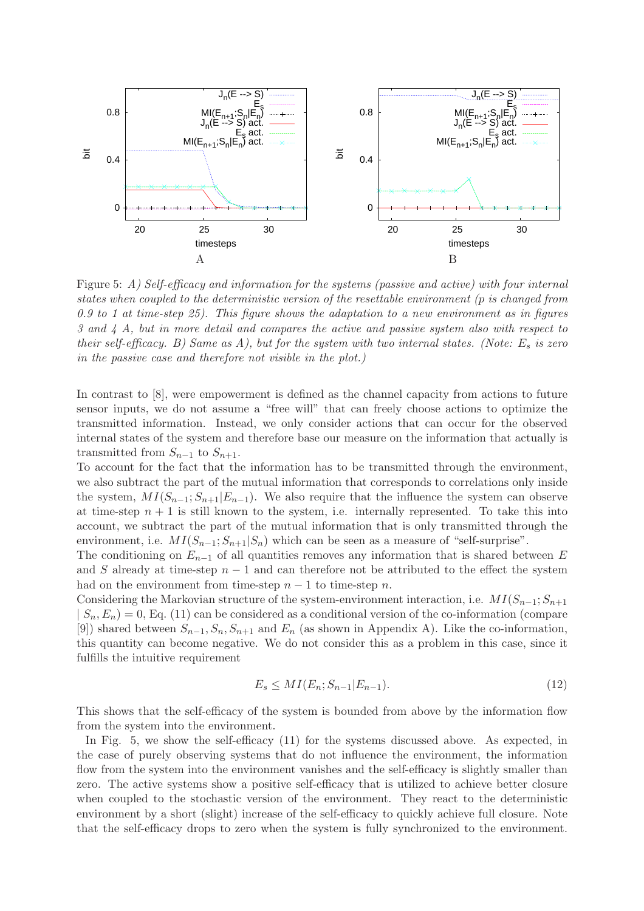

Figure 5: A) Self-efficacy and information for the systems (passive and active) with four internal states when coupled to the deterministic version of the resettable environment (p is changed from 0.9 to 1 at time-step 25). This figure shows the adaptation to a new environment as in figures 3 and 4 A, but in more detail and compares the active and passive system also with respect to their self-efficacy. B) Same as A), but for the system with two internal states. (Note:  $E_s$  is zero in the passive case and therefore not visible in the plot.)

In contrast to [8], were empowerment is defined as the channel capacity from actions to future sensor inputs, we do not assume a "free will" that can freely choose actions to optimize the transmitted information. Instead, we only consider actions that can occur for the observed internal states of the system and therefore base our measure on the information that actually is transmitted from  $S_{n-1}$  to  $S_{n+1}$ .

To account for the fact that the information has to be transmitted through the environment, we also subtract the part of the mutual information that corresponds to correlations only inside the system,  $MI(S_{n-1}; S_{n+1}|E_{n-1})$ . We also require that the influence the system can observe at time-step  $n + 1$  is still known to the system, i.e. internally represented. To take this into account, we subtract the part of the mutual information that is only transmitted through the environment, i.e.  $MI(S_{n-1}; S_{n+1}|S_n)$  which can be seen as a measure of "self-surprise".

The conditioning on  $E_{n-1}$  of all quantities removes any information that is shared between E and S already at time-step  $n-1$  and can therefore not be attributed to the effect the system had on the environment from time-step  $n - 1$  to time-step n.

Considering the Markovian structure of the system-environment interaction, i.e.  $MI(S_{n-1}; S_{n+1})$  $| S_n, E_n \rangle = 0$ , Eq. (11) can be considered as a conditional version of the co-information (compare [9]) shared between  $S_{n-1}, S_n, S_{n+1}$  and  $E_n$  (as shown in Appendix A). Like the co-information, this quantity can become negative. We do not consider this as a problem in this case, since it fulfills the intuitive requirement

$$
E_s \le MI(E_n; S_{n-1}|E_{n-1}).\tag{12}
$$

This shows that the self-efficacy of the system is bounded from above by the information flow from the system into the environment.

In Fig. 5, we show the self-efficacy (11) for the systems discussed above. As expected, in the case of purely observing systems that do not influence the environment, the information flow from the system into the environment vanishes and the self-efficacy is slightly smaller than zero. The active systems show a positive self-efficacy that is utilized to achieve better closure when coupled to the stochastic version of the environment. They react to the deterministic environment by a short (slight) increase of the self-efficacy to quickly achieve full closure. Note that the self-efficacy drops to zero when the system is fully synchronized to the environment.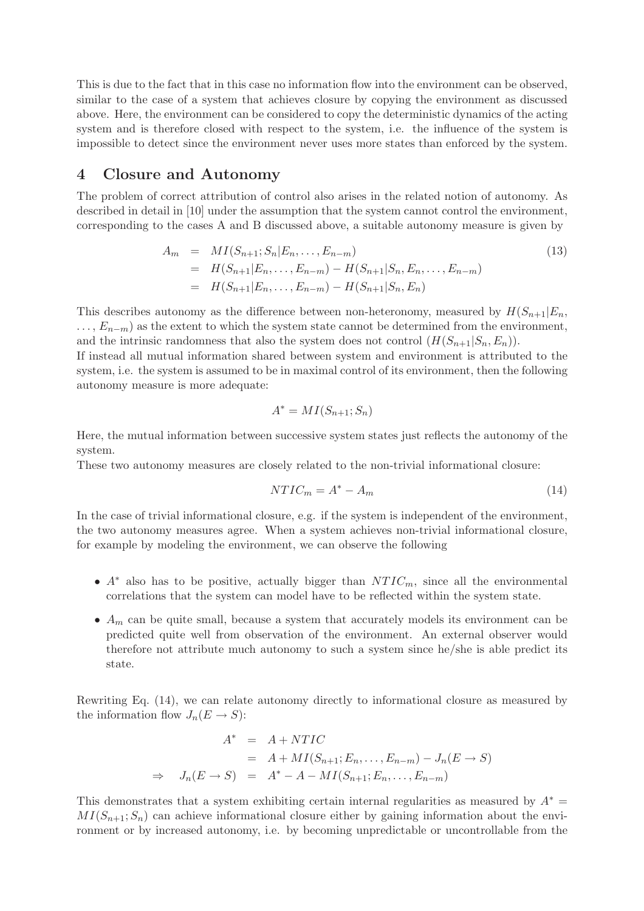This is due to the fact that in this case no information flow into the environment can be observed, similar to the case of a system that achieves closure by copying the environment as discussed above. Here, the environment can be considered to copy the deterministic dynamics of the acting system and is therefore closed with respect to the system, i.e. the influence of the system is impossible to detect since the environment never uses more states than enforced by the system.

#### 4 Closure and Autonomy

The problem of correct attribution of control also arises in the related notion of autonomy. As described in detail in [10] under the assumption that the system cannot control the environment, corresponding to the cases A and B discussed above, a suitable autonomy measure is given by

$$
A_m = MI(S_{n+1}; S_n | E_n, \dots, E_{n-m})
$$
  
=  $H(S_{n+1} | E_n, \dots, E_{n-m}) - H(S_{n+1} | S_n, E_n, \dots, E_{n-m})$   
=  $H(S_{n+1} | E_n, \dots, E_{n-m}) - H(S_{n+1} | S_n, E_n)$  (13)

This describes autonomy as the difference between non-heteronomy, measured by  $H(S_{n+1}|E_n,$  $\dots, E_{n-m}$  as the extent to which the system state cannot be determined from the environment, and the intrinsic randomness that also the system does not control  $(H(S_{n+1}|S_n, E_n))$ .

If instead all mutual information shared between system and environment is attributed to the system, i.e. the system is assumed to be in maximal control of its environment, then the following autonomy measure is more adequate:

$$
A^* = MI(S_{n+1}; S_n)
$$

Here, the mutual information between successive system states just reflects the autonomy of the system.

These two autonomy measures are closely related to the non-trivial informational closure:

$$
NTIC_m = A^* - A_m \tag{14}
$$

In the case of trivial informational closure, e.g. if the system is independent of the environment. the two autonomy measures agree. When a system achieves non-trivial informational closure, for example by modeling the environment, we can observe the following

- $A^*$  also has to be positive, actually bigger than  $NTIC_m$ , since all the environmental correlations that the system can model have to be reflected within the system state.
- $A_m$  can be quite small, because a system that accurately models its environment can be predicted quite well from observation of the environment. An external observer would therefore not attribute much autonomy to such a system since he/she is able predict its state.

Rewriting Eq. (14), we can relate autonomy directly to informational closure as measured by the information flow  $J_n(E \to S)$ :

$$
A^* = A + NTIC
$$
  
=  $A + MI(S_{n+1}; E_n, ..., E_{n-m}) - J_n(E \rightarrow S)$   

$$
\Rightarrow J_n(E \rightarrow S) = A^* - A - MI(S_{n+1}; E_n, ..., E_{n-m})
$$

This demonstrates that a system exhibiting certain internal regularities as measured by  $A^* =$  $MI(S_{n+1}; S_n)$  can achieve informational closure either by gaining information about the environment or by increased autonomy, i.e. by becoming unpredictable or uncontrollable from the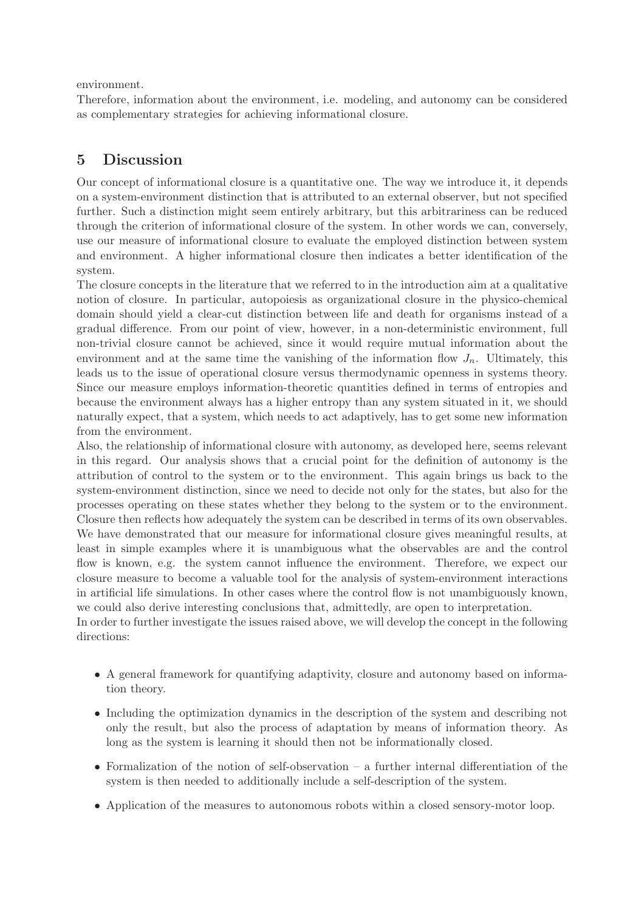environment.

Therefore, information about the environment, i.e. modeling, and autonomy can be considered as complementary strategies for achieving informational closure.

# 5 Discussion

Our concept of informational closure is a quantitative one. The way we introduce it, it depends on a system-environment distinction that is attributed to an external observer, but not specified further. Such a distinction might seem entirely arbitrary, but this arbitrariness can be reduced through the criterion of informational closure of the system. In other words we can, conversely, use our measure of informational closure to evaluate the employed distinction between system and environment. A higher informational closure then indicates a better identification of the system.

The closure concepts in the literature that we referred to in the introduction aim at a qualitative notion of closure. In particular, autopoiesis as organizational closure in the physico-chemical domain should yield a clear-cut distinction between life and death for organisms instead of a gradual difference. From our point of view, however, in a non-deterministic environment, full non-trivial closure cannot be achieved, since it would require mutual information about the environment and at the same time the vanishing of the information flow  $J_n$ . Ultimately, this leads us to the issue of operational closure versus thermodynamic openness in systems theory. Since our measure employs information-theoretic quantities defined in terms of entropies and because the environment always has a higher entropy than any system situated in it, we should naturally expect, that a system, which needs to act adaptively, has to get some new information from the environment.

Also, the relationship of informational closure with autonomy, as developed here, seems relevant in this regard. Our analysis shows that a crucial point for the definition of autonomy is the attribution of control to the system or to the environment. This again brings us back to the system-environment distinction, since we need to decide not only for the states, but also for the processes operating on these states whether they belong to the system or to the environment. Closure then reflects how adequately the system can be described in terms of its own observables. We have demonstrated that our measure for informational closure gives meaningful results, at least in simple examples where it is unambiguous what the observables are and the control flow is known, e.g. the system cannot influence the environment. Therefore, we expect our closure measure to become a valuable tool for the analysis of system-environment interactions in artificial life simulations. In other cases where the control flow is not unambiguously known, we could also derive interesting conclusions that, admittedly, are open to interpretation.

In order to further investigate the issues raised above, we will develop the concept in the following directions:

- A general framework for quantifying adaptivity, closure and autonomy based on information theory.
- Including the optimization dynamics in the description of the system and describing not only the result, but also the process of adaptation by means of information theory. As long as the system is learning it should then not be informationally closed.
- Formalization of the notion of self-observation a further internal differentiation of the system is then needed to additionally include a self-description of the system.
- Application of the measures to autonomous robots within a closed sensory-motor loop.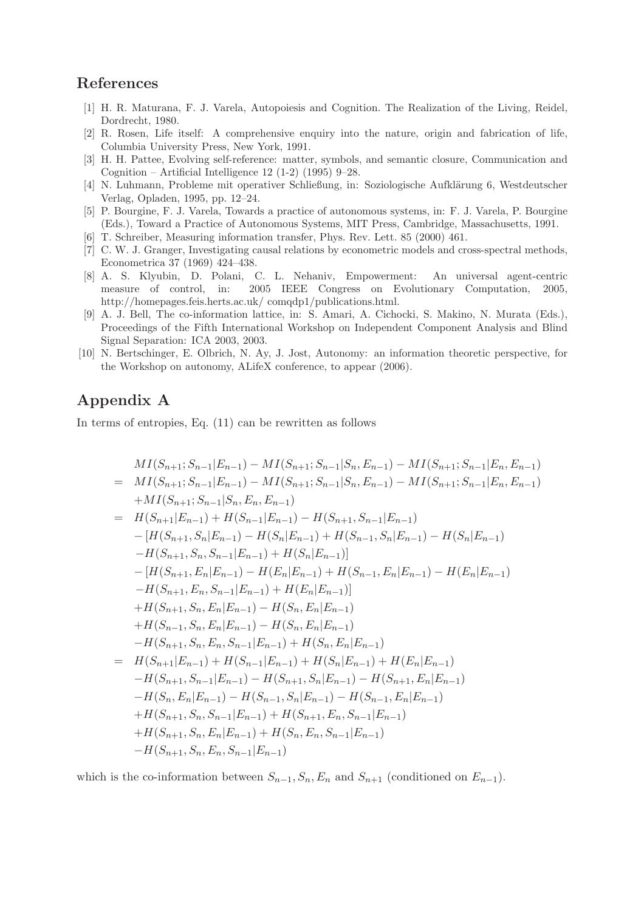#### References

- [1] H. R. Maturana, F. J. Varela, Autopoiesis and Cognition. The Realization of the Living, Reidel, Dordrecht, 1980.
- [2] R. Rosen, Life itself: A comprehensive enquiry into the nature, origin and fabrication of life, Columbia University Press, New York, 1991.
- [3] H. H. Pattee, Evolving self-reference: matter, symbols, and semantic closure, Communication and Cognition – Artificial Intelligence 12 (1-2) (1995) 9–28.
- [4] N. Luhmann, Probleme mit operativer Schließung, in: Soziologische Aufklärung 6, Westdeutscher Verlag, Opladen, 1995, pp. 12–24.
- [5] P. Bourgine, F. J. Varela, Towards a practice of autonomous systems, in: F. J. Varela, P. Bourgine (Eds.), Toward a Practice of Autonomous Systems, MIT Press, Cambridge, Massachusetts, 1991.
- [6] T. Schreiber, Measuring information transfer, Phys. Rev. Lett. 85 (2000) 461.
- [7] C. W. J. Granger, Investigating causal relations by econometric models and cross-spectral methods, Econometrica 37 (1969) 424–438.
- [8] A. S. Klyubin, D. Polani, C. L. Nehaniv, Empowerment: An universal agent-centric measure of control, in: 2005 IEEE Congress on Evolutionary Computation, 2005, http://homepages.feis.herts.ac.uk/ comqdp1/publications.html.
- [9] A. J. Bell, The co-information lattice, in: S. Amari, A. Cichocki, S. Makino, N. Murata (Eds.), Proceedings of the Fifth International Workshop on Independent Component Analysis and Blind Signal Separation: ICA 2003, 2003.
- [10] N. Bertschinger, E. Olbrich, N. Ay, J. Jost, Autonomy: an information theoretic perspective, for the Workshop on autonomy, ALifeX conference, to appear (2006).

# Appendix A

In terms of entropies, Eq. (11) can be rewritten as follows

$$
MI(S_{n+1}; S_{n-1}|E_{n-1}) - MI(S_{n+1}; S_{n-1}|S_n, E_{n-1}) - MI(S_{n+1}; S_{n-1}|E_n, E_{n-1})
$$
  
\n
$$
= MI(S_{n+1}; S_{n-1}|E_{n-1}) - MI(S_{n+1}; S_{n-1}|S_n, E_{n-1}) - MI(S_{n+1}; S_{n-1}|E_n, E_{n-1})
$$
  
\n
$$
+ MI(S_{n+1}; S_{n-1}|S_n, E_n, E_{n-1})
$$
  
\n
$$
= H(S_{n+1}|E_{n-1}) + H(S_{n-1}|E_{n-1}) - H(S_{n+1}, S_{n-1}|E_{n-1})
$$
  
\n
$$
- [H(S_{n+1}, S_n|E_{n-1}) - H(S_n|E_{n-1}) + H(S_{n-1}, S_n|E_{n-1}) - H(S_n|E_{n-1})
$$
  
\n
$$
- [H(S_{n+1}, E_n, S_{n-1}|E_{n-1}) + H(S_n|E_{n-1})]
$$
  
\n
$$
- [H(S_{n+1}, E_n, S_{n-1}|E_{n-1}) + H(S_n|E_{n-1})]
$$
  
\n
$$
- H(S_{n+1}, E_n, S_{n-1}|E_{n-1}) + H(S_n|E_{n-1})]
$$
  
\n
$$
+ H(S_{n+1}, S_n, E_n|E_{n-1}) - H(S_n, E_n|E_{n-1})
$$
  
\n
$$
+ H(S_{n-1}, S_n, E_n|E_{n-1}) - H(S_n, E_n|E_{n-1})
$$
  
\n
$$
- H(S_{n+1}, S_n, E_n, S_{n-1}|E_{n-1}) + H(S_n|E_{n-1})
$$
  
\n
$$
- H(S_{n+1}|E_{n-1}) + H(S_{n-1}|E_{n-1}) + H(S_n|E_{n-1}) + H(S_n|E_{n-1})
$$
  
\n
$$
- H(S_{n+1}, S_{n-1}|E_{n-1}) - H(S_{n+1}, S_n|E_{n-1}) - H(S_{n+1}, E_n|E_{n-1})
$$
  
\n
$$
- H(S_{n+1}, S_n, S_{n-1}|E_{n-1}) + H(S_n|
$$

which is the co-information between  $S_{n-1}, S_n, E_n$  and  $S_{n+1}$  (conditioned on  $E_{n-1}$ ).